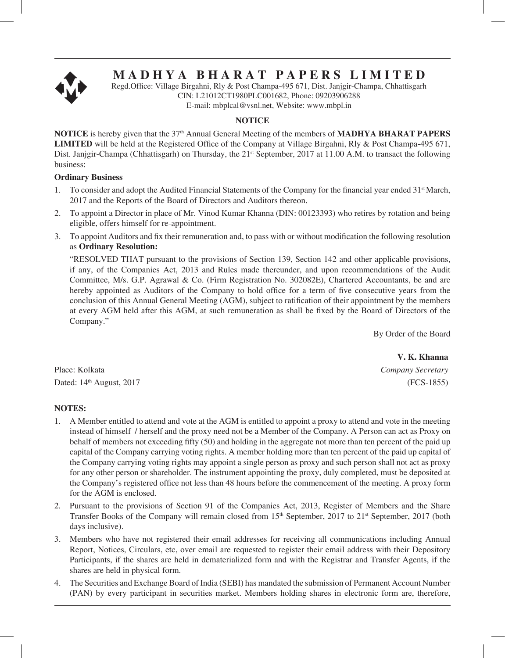

# **M A D H Y A B H A R A T P A P E R S L I M I T E D**

Regd.Office: Village Birgahni, Rly & Post Champa-495 671, Dist. Janjgir-Champa, Chhattisgarh CIN: L21012CT1980PLC001682, Phone: 09203906288 E-mail: mbplcal@vsnl.net, Website: www.mbpl.in

#### **NOTICE**

**NOTICE** is hereby given that the 37<sup>th</sup> Annual General Meeting of the members of **MADHYA BHARAT PAPERS LIMITED** will be held at the Registered Office of the Company at Village Birgahni, Rly & Post Champa-495 671, Dist. Janjgir-Champa (Chhattisgarh) on Thursday, the 21<sup>st</sup> September, 2017 at 11.00 A.M. to transact the following business:

#### **Ordinary Business**

- 1. To consider and adopt the Audited Financial Statements of the Company for the financial year ended 31<sup>st</sup> March, 2017 and the Reports of the Board of Directors and Auditors thereon.
- 2. To appoint a Director in place of Mr. Vinod Kumar Khanna (DIN: 00123393) who retires by rotation and being eligible, offers himself for re-appointment.
- 3. To appoint Auditors and fix their remuneration and, to pass with or without modification the following resolution as **Ordinary Resolution:**

"RESOLVED THAT pursuant to the provisions of Section 139, Section 142 and other applicable provisions, if any, of the Companies Act, 2013 and Rules made thereunder, and upon recommendations of the Audit Committee, M/s. G.P. Agrawal & Co. (Firm Registration No. 302082E), Chartered Accountants, be and are hereby appointed as Auditors of the Company to hold office for a term of five consecutive years from the conclusion of this Annual General Meeting (AGM), subject to ratification of their appointment by the members at every AGM held after this AGM, at such remuneration as shall be fixed by the Board of Directors of the Company."

By Order of the Board

Place: Kolkata *Company Secretary*  Dated: 14<sup>th</sup> August, 2017 (FCS-1855)

#### **NOTES:**

- 1. A Member entitled to attend and vote at the AGM is entitled to appoint a proxy to attend and vote in the meeting instead of himself / herself and the proxy need not be a Member of the Company. A Person can act as Proxy on behalf of members not exceeding fifty (50) and holding in the aggregate not more than ten percent of the paid up capital of the Company carrying voting rights. A member holding more than ten percent of the paid up capital of the Company carrying voting rights may appoint a single person as proxy and such person shall not act as proxy for any other person or shareholder. The instrument appointing the proxy, duly completed, must be deposited at the Company's registered office not less than 48 hours before the commencement of the meeting. A proxy form for the AGM is enclosed.
- 2. Pursuant to the provisions of Section 91 of the Companies Act, 2013, Register of Members and the Share Transfer Books of the Company will remain closed from  $15<sup>th</sup>$  September, 2017 to  $21<sup>st</sup>$  September, 2017 (both days inclusive).
- 3. Members who have not registered their email addresses for receiving all communications including Annual Report, Notices, Circulars, etc, over email are requested to register their email address with their Depository Participants, if the shares are held in dematerialized form and with the Registrar and Transfer Agents, if the shares are held in physical form.
- 4. The Securities and Exchange Board of India (SEBI) has mandated the submission of Permanent Account Number (PAN) by every participant in securities market. Members holding shares in electronic form are, therefore,

**V. K. Khanna**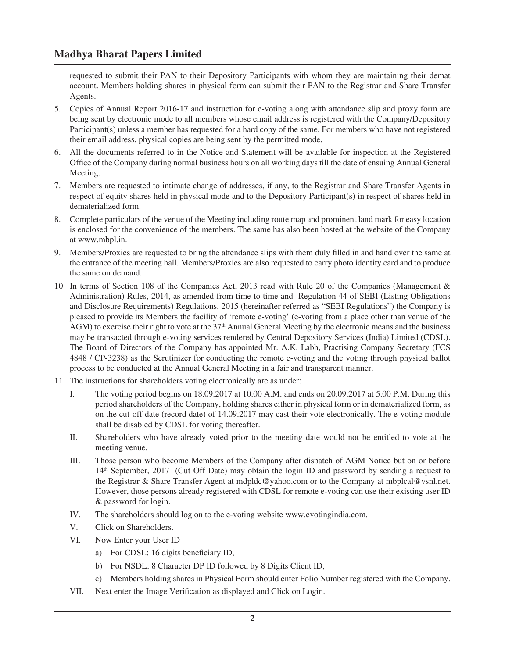## **Madhya Bharat Papers Limited**

requested to submit their PAN to their Depository Participants with whom they are maintaining their demat account. Members holding shares in physical form can submit their PAN to the Registrar and Share Transfer Agents.

- 5. Copies of Annual Report 2016-17 and instruction for e-voting along with attendance slip and proxy form are being sent by electronic mode to all members whose email address is registered with the Company/Depository Participant(s) unless a member has requested for a hard copy of the same. For members who have not registered their email address, physical copies are being sent by the permitted mode.
- 6. All the documents referred to in the Notice and Statement will be available for inspection at the Registered Office of the Company during normal business hours on all working days till the date of ensuing Annual General Meeting.
- 7. Members are requested to intimate change of addresses, if any, to the Registrar and Share Transfer Agents in respect of equity shares held in physical mode and to the Depository Participant(s) in respect of shares held in dematerialized form.
- 8. Complete particulars of the venue of the Meeting including route map and prominent land mark for easy location is enclosed for the convenience of the members. The same has also been hosted at the website of the Company at www.mbpl.in.
- 9. Members/Proxies are requested to bring the attendance slips with them duly filled in and hand over the same at the entrance of the meeting hall. Members/Proxies are also requested to carry photo identity card and to produce the same on demand.
- 10 In terms of Section 108 of the Companies Act, 2013 read with Rule 20 of the Companies (Management & Administration) Rules, 2014, as amended from time to time and Regulation 44 of SEBI (Listing Obligations and Disclosure Requirements) Regulations, 2015 (hereinafter referred as "SEBI Regulations") the Company is pleased to provide its Members the facility of 'remote e-voting' (e-voting from a place other than venue of the  $AGM$ ) to exercise their right to vote at the  $37<sup>th</sup>$  Annual General Meeting by the electronic means and the business may be transacted through e-voting services rendered by Central Depository Services (India) Limited (CDSL). The Board of Directors of the Company has appointed Mr. A.K. Labh, Practising Company Secretary (FCS 4848 / CP-3238) as the Scrutinizer for conducting the remote e-voting and the voting through physical ballot process to be conducted at the Annual General Meeting in a fair and transparent manner.
- 11. The instructions for shareholders voting electronically are as under:
	- I. The voting period begins on 18.09.2017 at 10.00 A.M. and ends on 20.09.2017 at 5.00 P.M. During this period shareholders of the Company, holding shares either in physical form or in dematerialized form, as on the cut-off date (record date) of 14.09.2017 may cast their vote electronically. The e-voting module shall be disabled by CDSL for voting thereafter.
	- II. Shareholders who have already voted prior to the meeting date would not be entitled to vote at the meeting venue.
	- III. Those person who become Members of the Company after dispatch of AGM Notice but on or before 14th September, 2017 (Cut Off Date) may obtain the login ID and password by sending a request to the Registrar & Share Transfer Agent at mdpldc@yahoo.com or to the Company at mbplcal@vsnl.net. However, those persons already registered with CDSL for remote e-voting can use their existing user ID & password for login.
	- IV. The shareholders should log on to the e-voting website www.evotingindia.com.
	- V. Click on Shareholders.
	- VI. Now Enter your User ID
		- a) For CDSL: 16 digits beneficiary ID,
		- b) For NSDL: 8 Character DP ID followed by 8 Digits Client ID,
		- c) Members holding shares in Physical Form should enter Folio Number registered with the Company.
	- VII. Next enter the Image Verification as displayed and Click on Login.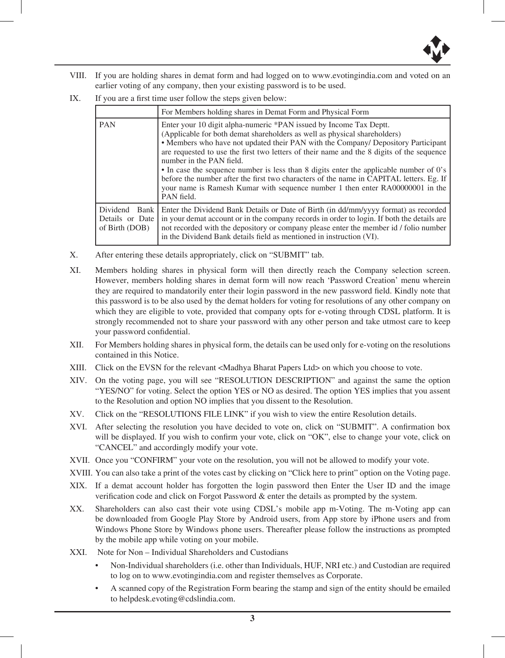

- VIII. If you are holding shares in demat form and had logged on to www.evotingindia.com and voted on an earlier voting of any company, then your existing password is to be used.
- IX. If you are a first time user follow the steps given below:

|                                                         | For Members holding shares in Demat Form and Physical Form                                                                                                                                                                                                                                                                                                                                                                                                                                                                                                                                                                                        |
|---------------------------------------------------------|---------------------------------------------------------------------------------------------------------------------------------------------------------------------------------------------------------------------------------------------------------------------------------------------------------------------------------------------------------------------------------------------------------------------------------------------------------------------------------------------------------------------------------------------------------------------------------------------------------------------------------------------------|
| <b>PAN</b>                                              | Enter your 10 digit alpha-numeric *PAN issued by Income Tax Deptt.<br>(Applicable for both demat shareholders as well as physical shareholders)<br>• Members who have not updated their PAN with the Company/ Depository Participant<br>are requested to use the first two letters of their name and the 8 digits of the sequence<br>number in the PAN field.<br>• In case the sequence number is less than 8 digits enter the applicable number of 0's<br>before the number after the first two characters of the name in CAPITAL letters. Eg. If<br>your name is Ramesh Kumar with sequence number 1 then enter RA00000001 in the<br>PAN field. |
| Dividend<br>Bank I<br>Details or Date<br>of Birth (DOB) | Enter the Dividend Bank Details or Date of Birth (in dd/mm/yyyy format) as recorded<br>in your demat account or in the company records in order to login. If both the details are<br>not recorded with the depository or company please enter the member id / folio number<br>in the Dividend Bank details field as mentioned in instruction (VI).                                                                                                                                                                                                                                                                                                |

- X. After entering these details appropriately, click on "SUBMIT" tab.
- XI. Members holding shares in physical form will then directly reach the Company selection screen. However, members holding shares in demat form will now reach 'Password Creation' menu wherein they are required to mandatorily enter their login password in the new password field. Kindly note that this password is to be also used by the demat holders for voting for resolutions of any other company on which they are eligible to vote, provided that company opts for e-voting through CDSL platform. It is strongly recommended not to share your password with any other person and take utmost care to keep your password confidential.
- XII. For Members holding shares in physical form, the details can be used only for e-voting on the resolutions contained in this Notice.
- XIII. Click on the EVSN for the relevant <Madhya Bharat Papers Ltd> on which you choose to vote.
- XIV. On the voting page, you will see "RESOLUTION DESCRIPTION" and against the same the option "YES/NO" for voting. Select the option YES or NO as desired. The option YES implies that you assent to the Resolution and option NO implies that you dissent to the Resolution.
- XV. Click on the "RESOLUTIONS FILE LINK" if you wish to view the entire Resolution details.
- XVI. After selecting the resolution you have decided to vote on, click on "SUBMIT". A confirmation box will be displayed. If you wish to confirm your vote, click on "OK", else to change your vote, click on "CANCEL" and accordingly modify your vote.
- XVII. Once you "CONFIRM" your vote on the resolution, you will not be allowed to modify your vote.
- XVIII. You can also take a print of the votes cast by clicking on "Click here to print" option on the Voting page.
- XIX. If a demat account holder has forgotten the login password then Enter the User ID and the image verification code and click on Forgot Password & enter the details as prompted by the system.
- XX. Shareholders can also cast their vote using CDSL's mobile app m-Voting. The m-Voting app can be downloaded from Google Play Store by Android users, from App store by iPhone users and from Windows Phone Store by Windows phone users. Thereafter please follow the instructions as prompted by the mobile app while voting on your mobile.
- XXI. Note for Non Individual Shareholders and Custodians
	- Non-Individual shareholders (i.e. other than Individuals, HUF, NRI etc.) and Custodian are required to log on to www.evotingindia.com and register themselves as Corporate.
	- A scanned copy of the Registration Form bearing the stamp and sign of the entity should be emailed to helpdesk.evoting@cdslindia.com.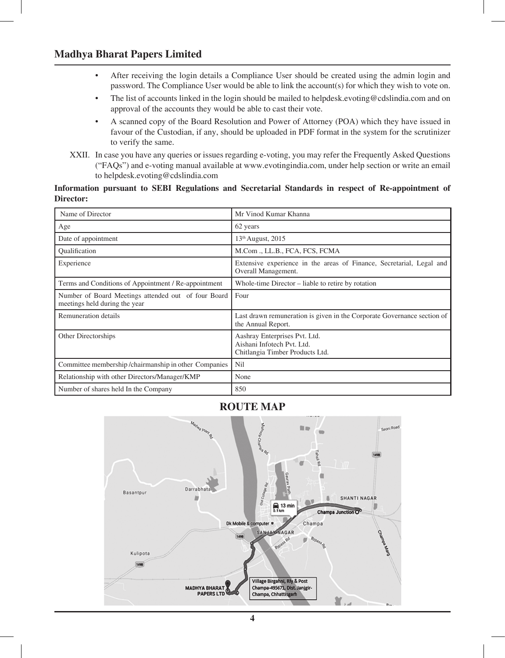## **Madhya Bharat Papers Limited**

- After receiving the login details a Compliance User should be created using the admin login and password. The Compliance User would be able to link the account(s) for which they wish to vote on.
- The list of accounts linked in the login should be mailed to helpdesk.evoting@cdslindia.com and on approval of the accounts they would be able to cast their vote.
- A scanned copy of the Board Resolution and Power of Attorney (POA) which they have issued in favour of the Custodian, if any, should be uploaded in PDF format in the system for the scrutinizer to verify the same.
- XXII. In case you have any queries or issues regarding e-voting, you may refer the Frequently Asked Questions ("FAQs") and e-voting manual available at www.evotingindia.com, under help section or write an email to helpdesk.evoting@cdslindia.com

#### **Information pursuant to SEBI Regulations and Secretarial Standards in respect of Re-appointment of Director:**

| Name of Director                                                                     | Mr Vinod Kumar Khanna                                                                          |  |  |
|--------------------------------------------------------------------------------------|------------------------------------------------------------------------------------------------|--|--|
| Age                                                                                  | 62 years                                                                                       |  |  |
| Date of appointment                                                                  | $13th$ August, 2015                                                                            |  |  |
| Qualification                                                                        | M.Com., LL.B., FCA, FCS, FCMA                                                                  |  |  |
| Experience                                                                           | Extensive experience in the areas of Finance, Secretarial, Legal and<br>Overall Management.    |  |  |
| Terms and Conditions of Appointment / Re-appointment                                 | Whole-time Director – liable to retire by rotation                                             |  |  |
| Number of Board Meetings attended out of four Board<br>meetings held during the year | Four                                                                                           |  |  |
| Remuneration details                                                                 | Last drawn remuneration is given in the Corporate Governance section of<br>the Annual Report.  |  |  |
| Other Directorships                                                                  | Aashray Enterprises Pvt. Ltd.<br>Aishani Infotech Pvt. Ltd.<br>Chitlangia Timber Products Ltd. |  |  |
| Committee membership/chairmanship in other Companies                                 | Nil                                                                                            |  |  |
| Relationship with other Directors/Manager/KMP                                        | None                                                                                           |  |  |
| Number of shares held In the Company                                                 | 850                                                                                            |  |  |

## **ROUTE MAP**

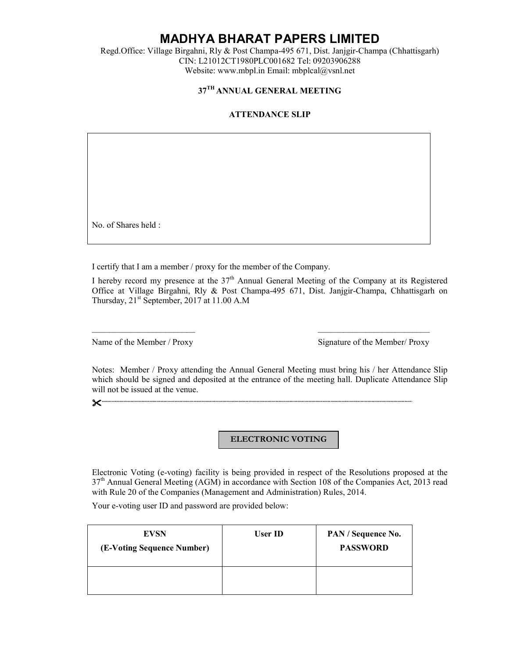# **MADHYA BHARAT PAPERS LIMITED**

Regd.Office: Village Birgahni, Rly & Post Champa-495 671, Dist. Janjgir-Champa (Chhattisgarh) CIN: L21012CT1980PLC001682 Tel: 09203906288 Website: www.mbpl.in Email: mbplcal@vsnl.net

## **37TH ANNUAL GENERAL MEETING**

### **ATTENDANCE SLIP**

No. of Shares held :

I certify that I am a member / proxy for the member of the Company.

I hereby record my presence at the  $37<sup>th</sup>$  Annual General Meeting of the Company at its Registered Office at Village Birgahni, Rly & Post Champa-495 671, Dist. Janjgir-Champa, Chhattisgarh on Thursday,  $21<sup>st</sup>$  September,  $2017$  at 11.00 A.M

 $\overline{\phantom{a}}$  , and the contribution of the contribution of the contribution of the contribution of the contribution of the contribution of the contribution of the contribution of the contribution of the contribution of the

Name of the Member / Proxy Signature of the Member/ Proxy

Notes: Member / Proxy attending the Annual General Meeting must bring his / her Attendance Slip which should be signed and deposited at the entrance of the meeting hall. Duplicate Attendance Slip will not be issued at the venue.

**..................................................................................................................................................................................................................................**.

#### **ELECTRONIC VOTING**

Electronic Voting (e-voting) facility is being provided in respect of the Resolutions proposed at the 37th Annual General Meeting (AGM) in accordance with Section 108 of the Companies Act, 2013 read with Rule 20 of the Companies (Management and Administration) Rules, 2014.

Your e-voting user ID and password are provided below:

| <b>EVSN</b><br>(E-Voting Sequence Number) | User ID | PAN / Sequence No.<br><b>PASSWORD</b> |
|-------------------------------------------|---------|---------------------------------------|
|                                           |         |                                       |